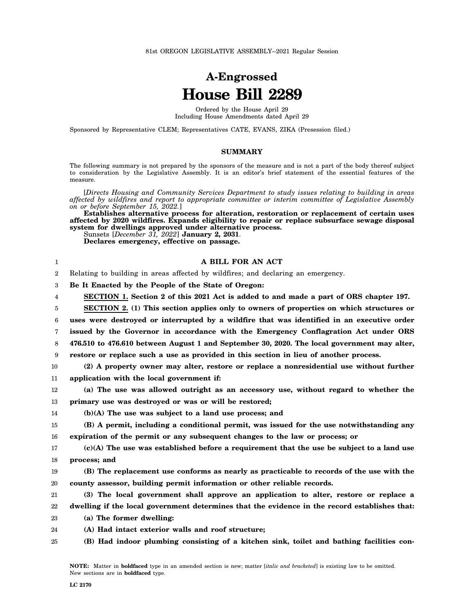## **A-Engrossed House Bill 2289**

Ordered by the House April 29 Including House Amendments dated April 29

Sponsored by Representative CLEM; Representatives CATE, EVANS, ZIKA (Presession filed.)

## **SUMMARY**

The following summary is not prepared by the sponsors of the measure and is not a part of the body thereof subject to consideration by the Legislative Assembly. It is an editor's brief statement of the essential features of the measure.

[*Directs Housing and Community Services Department to study issues relating to building in areas affected by wildfires and report to appropriate committee or interim committee of Legislative Assembly on or before September 15, 2022.*]

**Establishes alternative process for alteration, restoration or replacement of certain uses affected by 2020 wildfires. Expands eligibility to repair or replace subsurface sewage disposal system for dwellings approved under alternative process.** Sunsets [*December 31, 2022*] **January 2, 2031**.

**Declares emergency, effective on passage.**

## **A BILL FOR AN ACT**

2 Relating to building in areas affected by wildfires; and declaring an emergency.

3 **Be It Enacted by the People of the State of Oregon:**

4 **SECTION 1. Section 2 of this 2021 Act is added to and made a part of ORS chapter 197.**

5 6 7 8 9 **SECTION 2. (1) This section applies only to owners of properties on which structures or uses were destroyed or interrupted by a wildfire that was identified in an executive order issued by the Governor in accordance with the Emergency Conflagration Act under ORS 476.510 to 476.610 between August 1 and September 30, 2020. The local government may alter, restore or replace such a use as provided in this section in lieu of another process.**

- 10 11 **(2) A property owner may alter, restore or replace a nonresidential use without further application with the local government if:**
- 12 13 **(a) The use was allowed outright as an accessory use, without regard to whether the primary use was destroyed or was or will be restored;**
- 14 **(b)(A) The use was subject to a land use process; and**

15 16 **(B) A permit, including a conditional permit, was issued for the use notwithstanding any expiration of the permit or any subsequent changes to the law or process; or**

17 18 **(c)(A) The use was established before a requirement that the use be subject to a land use process; and**

19 20 **(B) The replacement use conforms as nearly as practicable to records of the use with the county assessor, building permit information or other reliable records.**

- 21 22 **(3) The local government shall approve an application to alter, restore or replace a dwelling if the local government determines that the evidence in the record establishes that:**
- 23 **(a) The former dwelling:**

24 **(A) Had intact exterior walls and roof structure;**

25 **(B) Had indoor plumbing consisting of a kitchen sink, toilet and bathing facilities con-**

1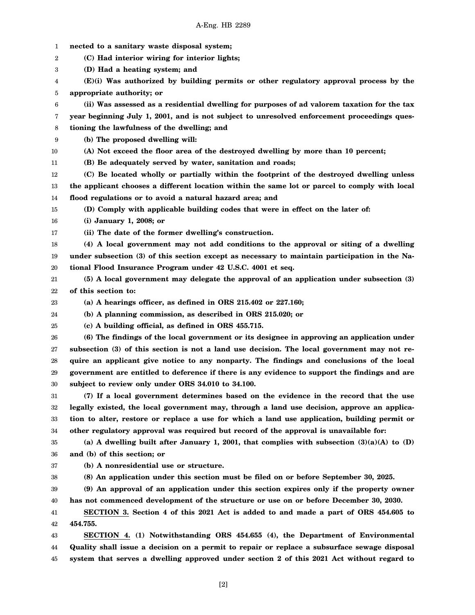- 1 **nected to a sanitary waste disposal system;**
- 2 **(C) Had interior wiring for interior lights;**
- 3 **(D) Had a heating system; and**
- 4 5 **(E)(i) Was authorized by building permits or other regulatory approval process by the appropriate authority; or**
- 6 **(ii) Was assessed as a residential dwelling for purposes of ad valorem taxation for the tax**
- 7 **year beginning July 1, 2001, and is not subject to unresolved enforcement proceedings ques-**
- 8 **tioning the lawfulness of the dwelling; and**
- 9 **(b) The proposed dwelling will:**
- 10 **(A) Not exceed the floor area of the destroyed dwelling by more than 10 percent;**
- 11 **(B) Be adequately served by water, sanitation and roads;**
- 12 13 14 **(C) Be located wholly or partially within the footprint of the destroyed dwelling unless the applicant chooses a different location within the same lot or parcel to comply with local flood regulations or to avoid a natural hazard area; and**
- 15 **(D) Comply with applicable building codes that were in effect on the later of:**
- 16 **(i) January 1, 2008; or**
- 17 **(ii) The date of the former dwelling's construction.**
- 18 19 20 **(4) A local government may not add conditions to the approval or siting of a dwelling under subsection (3) of this section except as necessary to maintain participation in the National Flood Insurance Program under 42 U.S.C. 4001 et seq.**
- 21 22 **(5) A local government may delegate the approval of an application under subsection (3) of this section to:**
- 23 **(a) A hearings officer, as defined in ORS 215.402 or 227.160;**
- 24 **(b) A planning commission, as described in ORS 215.020; or**
- 25 **(c) A building official, as defined in ORS 455.715.**
- 26 27 28 29 30 **(6) The findings of the local government or its designee in approving an application under subsection (3) of this section is not a land use decision. The local government may not require an applicant give notice to any nonparty. The findings and conclusions of the local government are entitled to deference if there is any evidence to support the findings and are subject to review only under ORS 34.010 to 34.100.**
- 31 32 33 34 **(7) If a local government determines based on the evidence in the record that the use legally existed, the local government may, through a land use decision, approve an application to alter, restore or replace a use for which a land use application, building permit or other regulatory approval was required but record of the approval is unavailable for:**
- 35 36 **(a) A dwelling built after January 1, 2001, that complies with subsection (3)(a)(A) to (D) and (b) of this section; or**
- 37 **(b) A nonresidential use or structure.**
- 38 **(8) An application under this section must be filed on or before September 30, 2025.**
- 39 40 **(9) An approval of an application under this section expires only if the property owner has not commenced development of the structure or use on or before December 30, 2030.**
- 41 42 **SECTION 3. Section 4 of this 2021 Act is added to and made a part of ORS 454.605 to 454.755.**
- 43 44 45 **SECTION 4. (1) Notwithstanding ORS 454.655 (4), the Department of Environmental Quality shall issue a decision on a permit to repair or replace a subsurface sewage disposal system that serves a dwelling approved under section 2 of this 2021 Act without regard to**